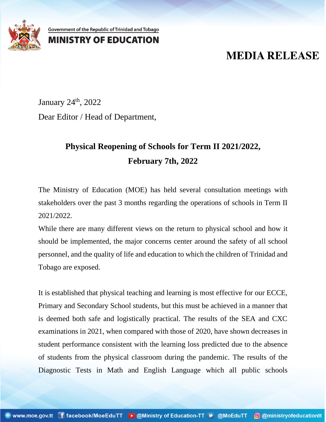

Government of the Republic of Trinidad and Tobago

## **MINISTRY OF EDUCATION**

## **MEDIA RELEASE**

January 24<sup>th</sup>, 2022 Dear Editor / Head of Department,

## **Physical Reopening of Schools for Term II 2021/2022, February 7th, 2022**

The Ministry of Education (MOE) has held several consultation meetings with stakeholders over the past 3 months regarding the operations of schools in Term II 2021/2022.

While there are many different views on the return to physical school and how it should be implemented, the major concerns center around the safety of all school personnel, and the quality of life and education to which the children of Trinidad and Tobago are exposed.

It is established that physical teaching and learning is most effective for our ECCE, Primary and Secondary School students, but this must be achieved in a manner that is deemed both safe and logistically practical. The results of the SEA and CXC examinations in 2021, when compared with those of 2020, have shown decreases in student performance consistent with the learning loss predicted due to the absence of students from the physical classroom during the pandemic. The results of the Diagnostic Tests in Math and English Language which all public schools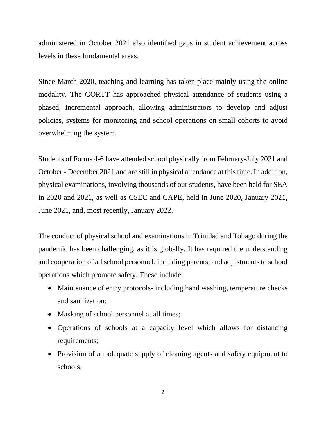administered in October 2021 also identified gaps in student achievement across levels in these fundamental areas.

Since March 2020, teaching and learning has taken place mainly using the online modality. The GORTT has approached physical attendance of students using a phased, incremental approach, allowing administrators to develop and adjust policies, systems for monitoring and school operations on small cohorts to avoid overwhelming the system.

Students of Forms 4-6 have attended school physically from February-July 2021 and October - December 2021 and are still in physical attendance at this time. In addition, physical examinations, involving thousands of our students, have been held for SEA in 2020 and 2021, as well as CSEC and CAPE, held in June 2020, January 2021, June 2021, and, most recently, January 2022.

The conduct of physical school and examinations in Trinidad and Tobago during the pandemic has been challenging, as it is globally. It has required the understanding and cooperation of all school personnel, including parents, and adjustments to school operations which promote safety. These include:

- Maintenance of entry protocols- including hand washing, temperature checks and sanitization;
- Masking of school personnel at all times;
- Operations of schools at a capacity level which allows for distancing requirements;
- Provision of an adequate supply of cleaning agents and safety equipment to schools;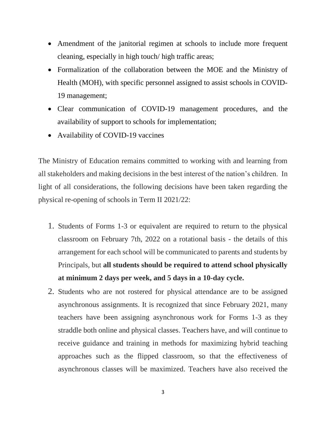- Amendment of the janitorial regimen at schools to include more frequent cleaning, especially in high touch/ high traffic areas;
- Formalization of the collaboration between the MOE and the Ministry of Health (MOH), with specific personnel assigned to assist schools in COVID-19 management;
- Clear communication of COVID-19 management procedures, and the availability of support to schools for implementation;
- Availability of COVID-19 vaccines

The Ministry of Education remains committed to working with and learning from all stakeholders and making decisions in the best interest of the nation's children. In light of all considerations, the following decisions have been taken regarding the physical re-opening of schools in Term II 2021/22:

- 1. Students of Forms 1-3 or equivalent are required to return to the physical classroom on February 7th, 2022 on a rotational basis - the details of this arrangement for each school will be communicated to parents and students by Principals, but **all students should be required to attend school physically at minimum 2 days per week, and 5 days in a 10-day cycle.**
- 2. Students who are not rostered for physical attendance are to be assigned asynchronous assignments. It is recognized that since February 2021, many teachers have been assigning asynchronous work for Forms 1-3 as they straddle both online and physical classes. Teachers have, and will continue to receive guidance and training in methods for maximizing hybrid teaching approaches such as the flipped classroom, so that the effectiveness of asynchronous classes will be maximized. Teachers have also received the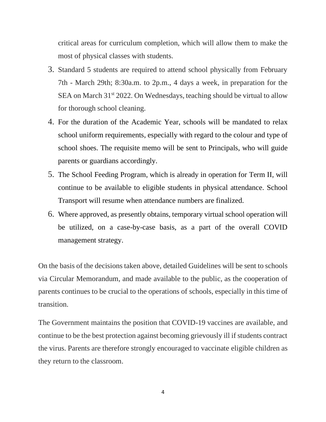critical areas for curriculum completion, which will allow them to make the most of physical classes with students.

- 3. Standard 5 students are required to attend school physically from February 7th - March 29th; 8:30a.m. to 2p.m., 4 days a week, in preparation for the SEA on March  $31<sup>st</sup> 2022$ . On Wednesdays, teaching should be virtual to allow for thorough school cleaning.
- 4. For the duration of the Academic Year, schools will be mandated to relax school uniform requirements, especially with regard to the colour and type of school shoes. The requisite memo will be sent to Principals, who will guide parents or guardians accordingly.
- 5. The School Feeding Program, which is already in operation for Term II, will continue to be available to eligible students in physical attendance. School Transport will resume when attendance numbers are finalized.
- 6. Where approved, as presently obtains, temporary virtual school operation will be utilized, on a case-by-case basis, as a part of the overall COVID management strategy.

On the basis of the decisions taken above, detailed Guidelines will be sent to schools via Circular Memorandum, and made available to the public, as the cooperation of parents continues to be crucial to the operations of schools, especially in this time of transition.

The Government maintains the position that COVID-19 vaccines are available, and continue to be the best protection against becoming grievously ill if students contract the virus. Parents are therefore strongly encouraged to vaccinate eligible children as they return to the classroom.

4